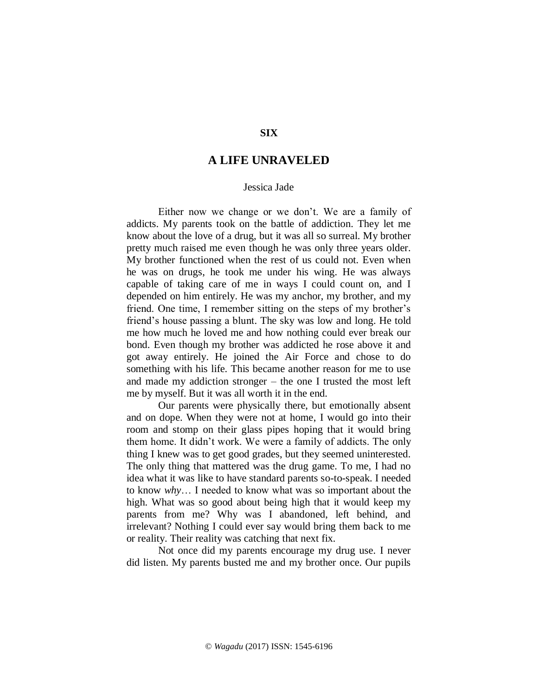## **SIX**

# **A LIFE UNRAVELED**

#### Jessica Jade

Either now we change or we don't. We are a family of addicts. My parents took on the battle of addiction. They let me know about the love of a drug, but it was all so surreal. My brother pretty much raised me even though he was only three years older. My brother functioned when the rest of us could not. Even when he was on drugs, he took me under his wing. He was always capable of taking care of me in ways I could count on, and I depended on him entirely. He was my anchor, my brother, and my friend. One time, I remember sitting on the steps of my brother's friend's house passing a blunt. The sky was low and long. He told me how much he loved me and how nothing could ever break our bond. Even though my brother was addicted he rose above it and got away entirely. He joined the Air Force and chose to do something with his life. This became another reason for me to use and made my addiction stronger – the one I trusted the most left me by myself. But it was all worth it in the end.

Our parents were physically there, but emotionally absent and on dope. When they were not at home, I would go into their room and stomp on their glass pipes hoping that it would bring them home. It didn't work. We were a family of addicts. The only thing I knew was to get good grades, but they seemed uninterested. The only thing that mattered was the drug game. To me, I had no idea what it was like to have standard parents so-to-speak. I needed to know *why*… I needed to know what was so important about the high. What was so good about being high that it would keep my parents from me? Why was I abandoned, left behind, and irrelevant? Nothing I could ever say would bring them back to me or reality. Their reality was catching that next fix.

Not once did my parents encourage my drug use. I never did listen. My parents busted me and my brother once. Our pupils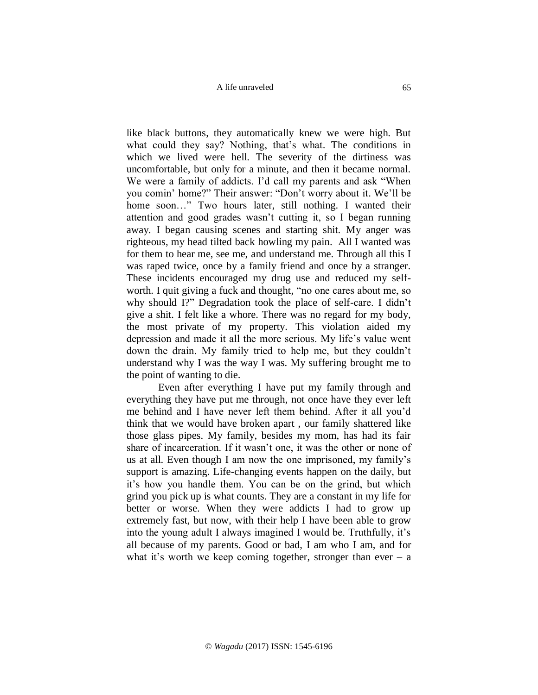A life unraveled

like black buttons, they automatically knew we were high. But what could they say? Nothing, that's what. The conditions in which we lived were hell. The severity of the dirtiness was uncomfortable, but only for a minute, and then it became normal. We were a family of addicts. I'd call my parents and ask "When you comin' home?" Their answer: "Don't worry about it. We'll be home soon..." Two hours later, still nothing. I wanted their attention and good grades wasn't cutting it, so I began running away. I began causing scenes and starting shit. My anger was righteous, my head tilted back howling my pain. All I wanted was for them to hear me, see me, and understand me. Through all this I was raped twice, once by a family friend and once by a stranger. These incidents encouraged my drug use and reduced my selfworth. I quit giving a fuck and thought, "no one cares about me, so why should I?" Degradation took the place of self-care. I didn't give a shit. I felt like a whore. There was no regard for my body, the most private of my property. This violation aided my depression and made it all the more serious. My life's value went down the drain. My family tried to help me, but they couldn't understand why I was the way I was. My suffering brought me to the point of wanting to die.

Even after everything I have put my family through and everything they have put me through, not once have they ever left me behind and I have never left them behind. After it all you'd think that we would have broken apart , our family shattered like those glass pipes. My family, besides my mom, has had its fair share of incarceration. If it wasn't one, it was the other or none of us at all. Even though I am now the one imprisoned, my family's support is amazing. Life-changing events happen on the daily, but it's how you handle them. You can be on the grind, but which grind you pick up is what counts. They are a constant in my life for better or worse. When they were addicts I had to grow up extremely fast, but now, with their help I have been able to grow into the young adult I always imagined I would be. Truthfully, it's all because of my parents. Good or bad, I am who I am, and for what it's worth we keep coming together, stronger than ever  $-$  a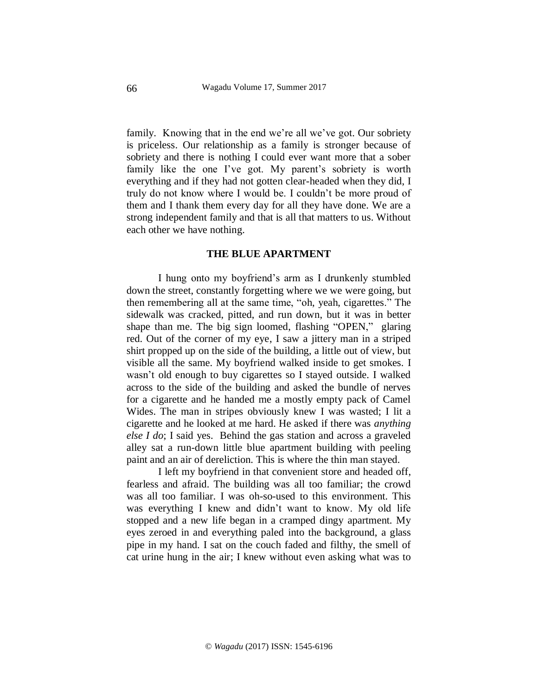family. Knowing that in the end we're all we've got. Our sobriety is priceless. Our relationship as a family is stronger because of sobriety and there is nothing I could ever want more that a sober family like the one I've got. My parent's sobriety is worth everything and if they had not gotten clear-headed when they did, I truly do not know where I would be. I couldn't be more proud of them and I thank them every day for all they have done. We are a strong independent family and that is all that matters to us. Without each other we have nothing.

### **THE BLUE APARTMENT**

I hung onto my boyfriend's arm as I drunkenly stumbled down the street, constantly forgetting where we we were going, but then remembering all at the same time, "oh, yeah, cigarettes." The sidewalk was cracked, pitted, and run down, but it was in better shape than me. The big sign loomed, flashing "OPEN," glaring red. Out of the corner of my eye, I saw a jittery man in a striped shirt propped up on the side of the building, a little out of view, but visible all the same. My boyfriend walked inside to get smokes. I wasn't old enough to buy cigarettes so I stayed outside. I walked across to the side of the building and asked the bundle of nerves for a cigarette and he handed me a mostly empty pack of Camel Wides. The man in stripes obviously knew I was wasted; I lit a cigarette and he looked at me hard. He asked if there was *anything else I do*; I said yes. Behind the gas station and across a graveled alley sat a run-down little blue apartment building with peeling paint and an air of dereliction. This is where the thin man stayed.

I left my boyfriend in that convenient store and headed off, fearless and afraid. The building was all too familiar; the crowd was all too familiar. I was oh-so-used to this environment. This was everything I knew and didn't want to know. My old life stopped and a new life began in a cramped dingy apartment. My eyes zeroed in and everything paled into the background, a glass pipe in my hand. I sat on the couch faded and filthy, the smell of cat urine hung in the air; I knew without even asking what was to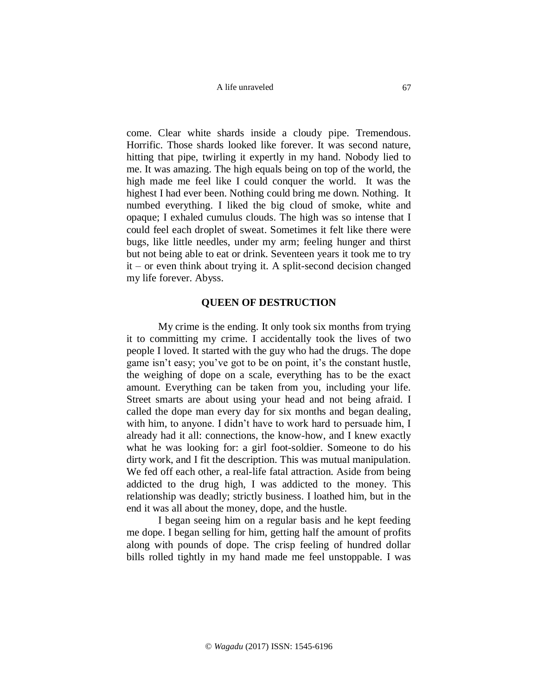A life unraveled

come. Clear white shards inside a cloudy pipe. Tremendous. Horrific. Those shards looked like forever. It was second nature, hitting that pipe, twirling it expertly in my hand. Nobody lied to me. It was amazing. The high equals being on top of the world, the high made me feel like I could conquer the world. It was the highest I had ever been. Nothing could bring me down. Nothing. It numbed everything. I liked the big cloud of smoke, white and opaque; I exhaled cumulus clouds. The high was so intense that I could feel each droplet of sweat. Sometimes it felt like there were bugs, like little needles, under my arm; feeling hunger and thirst but not being able to eat or drink. Seventeen years it took me to try it – or even think about trying it. A split-second decision changed my life forever. Abyss.

#### **QUEEN OF DESTRUCTION**

My crime is the ending. It only took six months from trying it to committing my crime. I accidentally took the lives of two people I loved. It started with the guy who had the drugs. The dope game isn't easy; you've got to be on point, it's the constant hustle, the weighing of dope on a scale, everything has to be the exact amount. Everything can be taken from you, including your life. Street smarts are about using your head and not being afraid. I called the dope man every day for six months and began dealing, with him, to anyone. I didn't have to work hard to persuade him, I already had it all: connections, the know-how, and I knew exactly what he was looking for: a girl foot-soldier. Someone to do his dirty work, and I fit the description. This was mutual manipulation. We fed off each other, a real-life fatal attraction. Aside from being addicted to the drug high, I was addicted to the money. This relationship was deadly; strictly business. I loathed him, but in the end it was all about the money, dope, and the hustle.

I began seeing him on a regular basis and he kept feeding me dope. I began selling for him, getting half the amount of profits along with pounds of dope. The crisp feeling of hundred dollar bills rolled tightly in my hand made me feel unstoppable. I was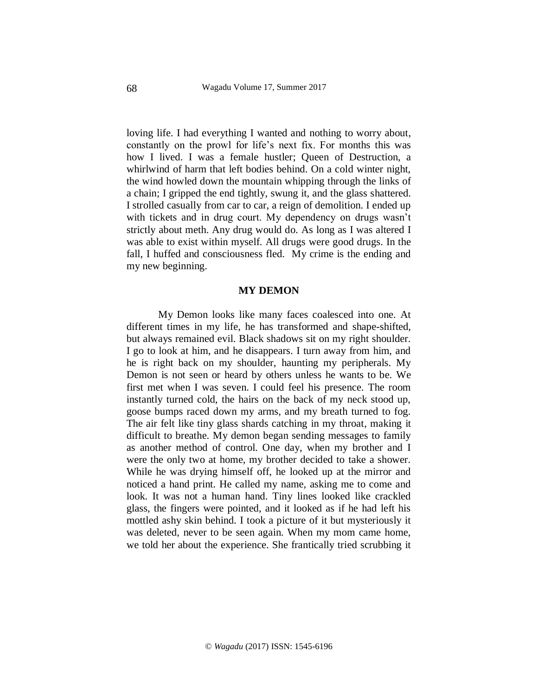loving life. I had everything I wanted and nothing to worry about, constantly on the prowl for life's next fix. For months this was how I lived. I was a female hustler; Queen of Destruction, a whirlwind of harm that left bodies behind. On a cold winter night, the wind howled down the mountain whipping through the links of a chain; I gripped the end tightly, swung it, and the glass shattered. I strolled casually from car to car, a reign of demolition. I ended up with tickets and in drug court. My dependency on drugs wasn't strictly about meth. Any drug would do. As long as I was altered I was able to exist within myself. All drugs were good drugs. In the fall, I huffed and consciousness fled. My crime is the ending and my new beginning.

### **MY DEMON**

My Demon looks like many faces coalesced into one. At different times in my life, he has transformed and shape-shifted, but always remained evil. Black shadows sit on my right shoulder. I go to look at him, and he disappears. I turn away from him, and he is right back on my shoulder, haunting my peripherals. My Demon is not seen or heard by others unless he wants to be. We first met when I was seven. I could feel his presence. The room instantly turned cold, the hairs on the back of my neck stood up, goose bumps raced down my arms, and my breath turned to fog. The air felt like tiny glass shards catching in my throat, making it difficult to breathe. My demon began sending messages to family as another method of control. One day, when my brother and I were the only two at home, my brother decided to take a shower. While he was drying himself off, he looked up at the mirror and noticed a hand print. He called my name, asking me to come and look. It was not a human hand. Tiny lines looked like crackled glass, the fingers were pointed, and it looked as if he had left his mottled ashy skin behind. I took a picture of it but mysteriously it was deleted, never to be seen again. When my mom came home, we told her about the experience. She frantically tried scrubbing it